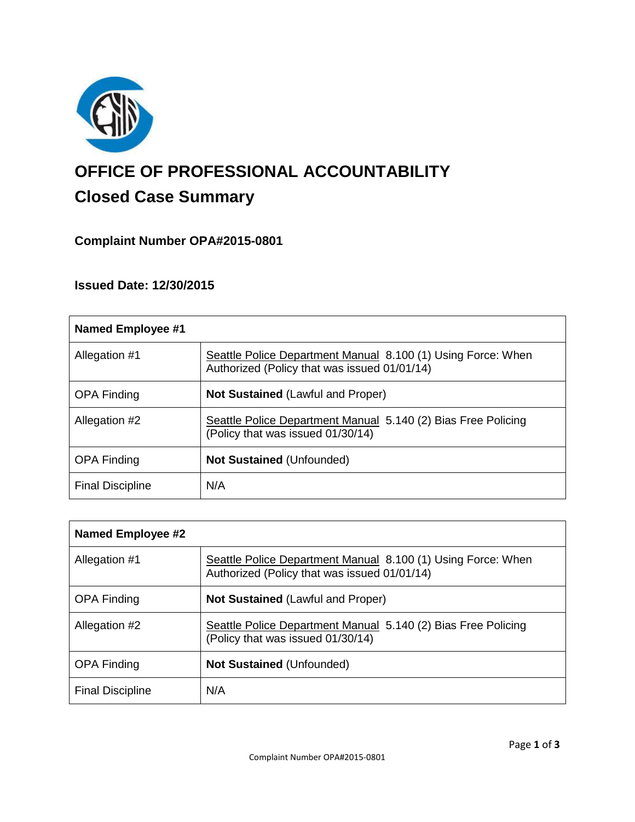

# **OFFICE OF PROFESSIONAL ACCOUNTABILITY Closed Case Summary**

# **Complaint Number OPA#2015-0801**

# **Issued Date: 12/30/2015**

| Named Employee #1       |                                                                                                              |
|-------------------------|--------------------------------------------------------------------------------------------------------------|
| Allegation #1           | Seattle Police Department Manual 8.100 (1) Using Force: When<br>Authorized (Policy that was issued 01/01/14) |
| <b>OPA Finding</b>      | <b>Not Sustained (Lawful and Proper)</b>                                                                     |
| Allegation #2           | Seattle Police Department Manual 5.140 (2) Bias Free Policing<br>(Policy that was issued 01/30/14)           |
| <b>OPA Finding</b>      | <b>Not Sustained (Unfounded)</b>                                                                             |
| <b>Final Discipline</b> | N/A                                                                                                          |

| Named Employee #2       |                                                                                                              |
|-------------------------|--------------------------------------------------------------------------------------------------------------|
| Allegation #1           | Seattle Police Department Manual 8.100 (1) Using Force: When<br>Authorized (Policy that was issued 01/01/14) |
| <b>OPA Finding</b>      | <b>Not Sustained (Lawful and Proper)</b>                                                                     |
| Allegation #2           | Seattle Police Department Manual 5.140 (2) Bias Free Policing<br>(Policy that was issued 01/30/14)           |
| <b>OPA Finding</b>      | <b>Not Sustained (Unfounded)</b>                                                                             |
| <b>Final Discipline</b> | N/A                                                                                                          |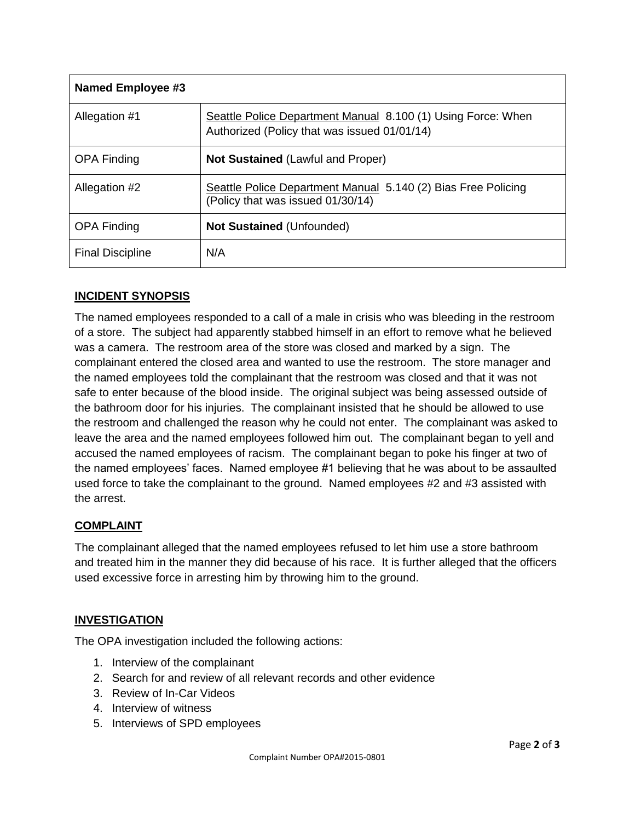| Named Employee #3       |                                                                                                              |
|-------------------------|--------------------------------------------------------------------------------------------------------------|
| Allegation #1           | Seattle Police Department Manual 8.100 (1) Using Force: When<br>Authorized (Policy that was issued 01/01/14) |
| <b>OPA Finding</b>      | <b>Not Sustained (Lawful and Proper)</b>                                                                     |
| Allegation #2           | Seattle Police Department Manual 5.140 (2) Bias Free Policing<br>(Policy that was issued 01/30/14)           |
| <b>OPA Finding</b>      | <b>Not Sustained (Unfounded)</b>                                                                             |
| <b>Final Discipline</b> | N/A                                                                                                          |

# **INCIDENT SYNOPSIS**

The named employees responded to a call of a male in crisis who was bleeding in the restroom of a store. The subject had apparently stabbed himself in an effort to remove what he believed was a camera. The restroom area of the store was closed and marked by a sign. The complainant entered the closed area and wanted to use the restroom. The store manager and the named employees told the complainant that the restroom was closed and that it was not safe to enter because of the blood inside. The original subject was being assessed outside of the bathroom door for his injuries. The complainant insisted that he should be allowed to use the restroom and challenged the reason why he could not enter. The complainant was asked to leave the area and the named employees followed him out. The complainant began to yell and accused the named employees of racism. The complainant began to poke his finger at two of the named employees' faces. Named employee #1 believing that he was about to be assaulted used force to take the complainant to the ground. Named employees #2 and #3 assisted with the arrest.

## **COMPLAINT**

The complainant alleged that the named employees refused to let him use a store bathroom and treated him in the manner they did because of his race. It is further alleged that the officers used excessive force in arresting him by throwing him to the ground.

## **INVESTIGATION**

The OPA investigation included the following actions:

- 1. Interview of the complainant
- 2. Search for and review of all relevant records and other evidence
- 3. Review of In-Car Videos
- 4. Interview of witness
- 5. Interviews of SPD employees